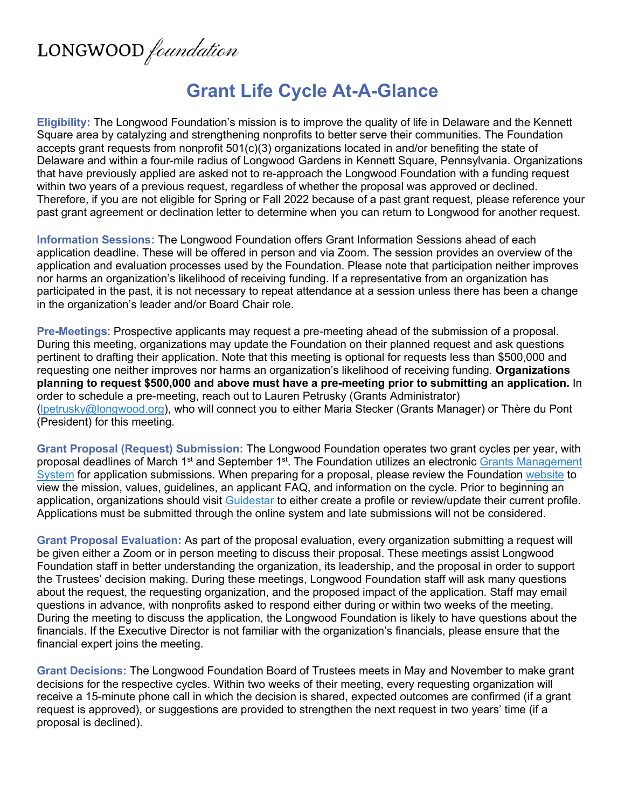## LONGWOOD foundation

## **Grant Life Cycle At-A-Glance**

**Eligibility:** The Longwood Foundation's mission is to improve the quality of life in Delaware and the Kennett Square area by catalyzing and strengthening nonprofits to better serve their communities. The Foundation accepts grant requests from nonprofit 501(c)(3) organizations located in and/or benefiting the state of Delaware and within a four-mile radius of Longwood Gardens in Kennett Square, Pennsylvania. Organizations that have previously applied are asked not to re-approach the Longwood Foundation with a funding request within two years of a previous request, regardless of whether the proposal was approved or declined. Therefore, if you are not eligible for Spring or Fall 2022 because of a past grant request, please reference your past grant agreement or declination letter to determine when you can return to Longwood for another request.

**Information Sessions:** The Longwood Foundation offers Grant Information Sessions ahead of each application deadline. These will be offered in person and via Zoom. The session provides an overview of the application and evaluation processes used by the Foundation. Please note that participation neither improves nor harms an organization's likelihood of receiving funding. If a representative from an organization has participated in the past, it is not necessary to repeat attendance at a session unless there has been a change in the organization's leader and/or Board Chair role.

**Pre-Meetings**: Prospective applicants may request a pre-meeting ahead of the submission of a proposal. During this meeting, organizations may update the Foundation on their planned request and ask questions pertinent to drafting their application. Note that this meeting is optional for requests less than \$500,000 and requesting one neither improves nor harms an organization's likelihood of receiving funding. **Organizations planning to request \$500,000 and above must have a pre-meeting prior to submitting an application.** In order to schedule a pre-meeting, reach out to Lauren Petrusky (Grants Administrator) ([lpetrusky@longwood.org\), wh](mailto:lpetrusky@longwood.org)o will connect you to either Maria Stecker (Grants Manager) or Thère du Pont (President) for this meeting.

**Grant Proposal (Request) Submission:** The Longwood Foundation operates two grant cycles per year, with proposal deadlines of March 1<sup>st</sup> and September 1<sup>st</sup>. The Foundation utilizes an electronic Grants Management [System](https://www.grantinterface.com/Home/Logon?urlkey=longwood) for application submissions. When preparing for a proposal, please review the Foundation [website](http://www.longwoodfoundation.org/) to view the mission, values, guidelines, an applicant FAQ, and information on the cycle. Prior to beginning an application, organizations should visit [Guidestar](https://learn.guidestar.org/update-nonprofit-report) to either create a profile or review/update their current profile. Applications must be submitted through the online system and late submissions will not be considered.

**Grant Proposal Evaluation:** As part of the proposal evaluation, every organization submitting a request will be given either a Zoom or in person meeting to discuss their proposal. These meetings assist Longwood Foundation staff in better understanding the organization, its leadership, and the proposal in order to support the Trustees' decision making. During these meetings, Longwood Foundation staff will ask many questions about the request, the requesting organization, and the proposed impact of the application. Staff may email questions in advance, with nonprofits asked to respond either during or within two weeks of the meeting. During the meeting to discuss the application, the Longwood Foundation is likely to have questions about the financials. If the Executive Director is not familiar with the organization's financials, please ensure that the financial expert joins the meeting.

**Grant Decisions:** The Longwood Foundation Board of Trustees meets in May and November to make grant decisions for the respective cycles. Within two weeks of their meeting, every requesting organization will receive a 15-minute phone call in which the decision is shared, expected outcomes are confirmed (if a grant request is approved), or suggestions are provided to strengthen the next request in two years' time (if a proposal is declined).